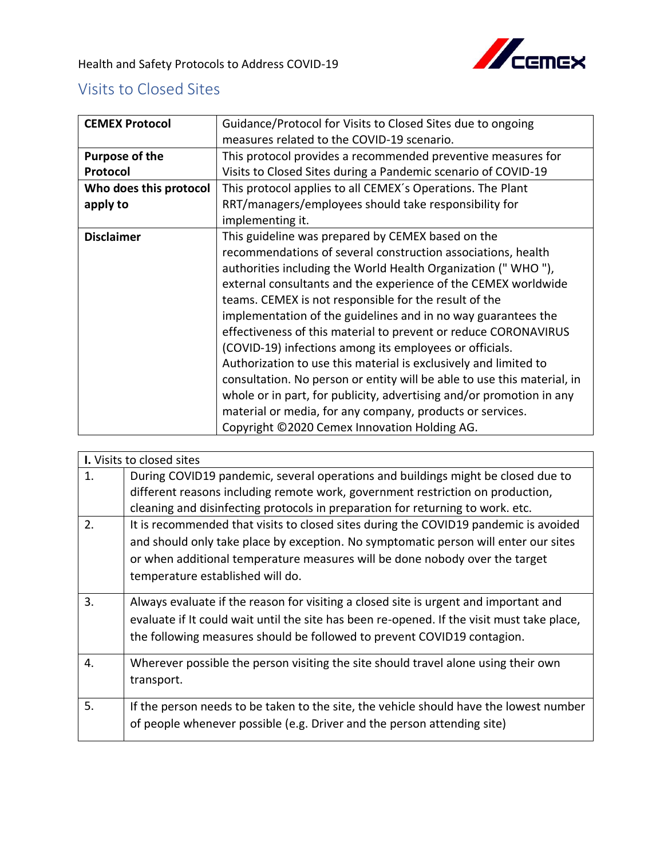

## Visits to Closed Sites

| <b>CEMEX Protocol</b>  | Guidance/Protocol for Visits to Closed Sites due to ongoing             |
|------------------------|-------------------------------------------------------------------------|
|                        | measures related to the COVID-19 scenario.                              |
| Purpose of the         | This protocol provides a recommended preventive measures for            |
| Protocol               | Visits to Closed Sites during a Pandemic scenario of COVID-19           |
| Who does this protocol | This protocol applies to all CEMEX's Operations. The Plant              |
| apply to               | RRT/managers/employees should take responsibility for                   |
|                        | implementing it.                                                        |
| <b>Disclaimer</b>      | This guideline was prepared by CEMEX based on the                       |
|                        | recommendations of several construction associations, health            |
|                        | authorities including the World Health Organization ("WHO"),            |
|                        | external consultants and the experience of the CEMEX worldwide          |
|                        | teams. CEMEX is not responsible for the result of the                   |
|                        | implementation of the guidelines and in no way guarantees the           |
|                        | effectiveness of this material to prevent or reduce CORONAVIRUS         |
|                        | (COVID-19) infections among its employees or officials.                 |
|                        | Authorization to use this material is exclusively and limited to        |
|                        | consultation. No person or entity will be able to use this material, in |
|                        | whole or in part, for publicity, advertising and/or promotion in any    |
|                        | material or media, for any company, products or services.               |
|                        | Copyright ©2020 Cemex Innovation Holding AG.                            |

| I. Visits to closed sites |                                                                                                                                                                                                                                                                                                                                                                                  |  |
|---------------------------|----------------------------------------------------------------------------------------------------------------------------------------------------------------------------------------------------------------------------------------------------------------------------------------------------------------------------------------------------------------------------------|--|
| 1.                        | During COVID19 pandemic, several operations and buildings might be closed due to<br>different reasons including remote work, government restriction on production,                                                                                                                                                                                                               |  |
| 2.                        | cleaning and disinfecting protocols in preparation for returning to work. etc.<br>It is recommended that visits to closed sites during the COVID19 pandemic is avoided<br>and should only take place by exception. No symptomatic person will enter our sites<br>or when additional temperature measures will be done nobody over the target<br>temperature established will do. |  |
| 3.                        | Always evaluate if the reason for visiting a closed site is urgent and important and<br>evaluate if It could wait until the site has been re-opened. If the visit must take place,<br>the following measures should be followed to prevent COVID19 contagion.                                                                                                                    |  |
| 4.                        | Wherever possible the person visiting the site should travel alone using their own<br>transport.                                                                                                                                                                                                                                                                                 |  |
| 5.                        | If the person needs to be taken to the site, the vehicle should have the lowest number<br>of people whenever possible (e.g. Driver and the person attending site)                                                                                                                                                                                                                |  |